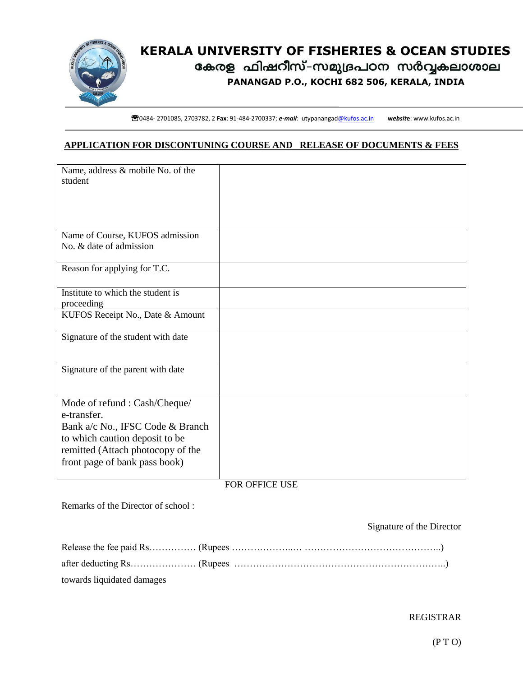

# **KERALA UNIVERSITY OF FISHERIES & OCEAN STUDIES PANANGAD P.O., KOCHI 682 506, KERALA, INDIA**

**^**<br>**^^**0484- 2701085, 2703782, 2 Fax: 91-484-2700337; *e-mail*: [utypanangad@kufos.ac.in](mailto:utypanangad@kufos.ac.in) website: www.kufos.ac.in

### **APPLICATION FOR DISCONTUNING COURSE AND RELEASE OF DOCUMENTS & FEES**

| Name, address & mobile No. of the<br>student                                                            |  |
|---------------------------------------------------------------------------------------------------------|--|
|                                                                                                         |  |
| Name of Course, KUFOS admission<br>No. & date of admission                                              |  |
| Reason for applying for T.C.                                                                            |  |
| Institute to which the student is<br>proceeding                                                         |  |
| KUFOS Receipt No., Date & Amount                                                                        |  |
| Signature of the student with date                                                                      |  |
| Signature of the parent with date                                                                       |  |
| Mode of refund : Cash/Cheque/<br>e-transfer.                                                            |  |
| Bank a/c No., IFSC Code & Branch<br>to which caution deposit to be<br>remitted (Attach photocopy of the |  |
| front page of bank pass book)                                                                           |  |

### FOR OFFICE USE

Remarks of the Director of school :

#### Signature of the Director

| towards liquidated damages |  |
|----------------------------|--|

## REGISTRAR